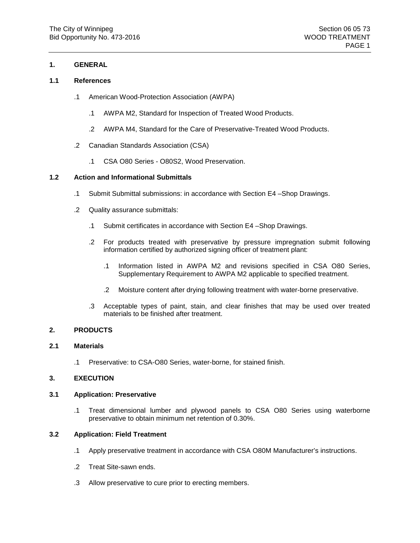### **1. GENERAL**

### **1.1 References**

- .1 American Wood-Protection Association (AWPA)
	- .1 AWPA M2, Standard for Inspection of Treated Wood Products.
	- .2 AWPA M4, Standard for the Care of Preservative-Treated Wood Products.
- .2 Canadian Standards Association (CSA)
	- .1 CSA O80 Series O80S2, Wood Preservation.

## **1.2 Action and Informational Submittals**

- .1 Submit Submittal submissions: in accordance with Section E4 –Shop Drawings.
- .2 Quality assurance submittals:
	- .1 Submit certificates in accordance with Section E4 –Shop Drawings.
	- .2 For products treated with preservative by pressure impregnation submit following information certified by authorized signing officer of treatment plant:
		- .1 Information listed in AWPA M2 and revisions specified in CSA O80 Series, Supplementary Requirement to AWPA M2 applicable to specified treatment.
		- .2 Moisture content after drying following treatment with water-borne preservative.
	- .3 Acceptable types of paint, stain, and clear finishes that may be used over treated materials to be finished after treatment.

### **2. PRODUCTS**

### **2.1 Materials**

.1 Preservative: to CSA-O80 Series, water-borne, for stained finish.

### **3. EXECUTION**

### **3.1 Application: Preservative**

.1 Treat dimensional lumber and plywood panels to CSA O80 Series using waterborne preservative to obtain minimum net retention of 0.30%.

### **3.2 Application: Field Treatment**

- .1 Apply preservative treatment in accordance with CSA O80M Manufacturer's instructions.
- .2 Treat Site-sawn ends.
- .3 Allow preservative to cure prior to erecting members.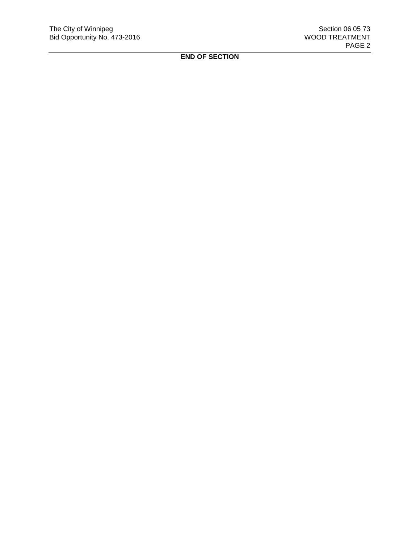**END OF SECTION**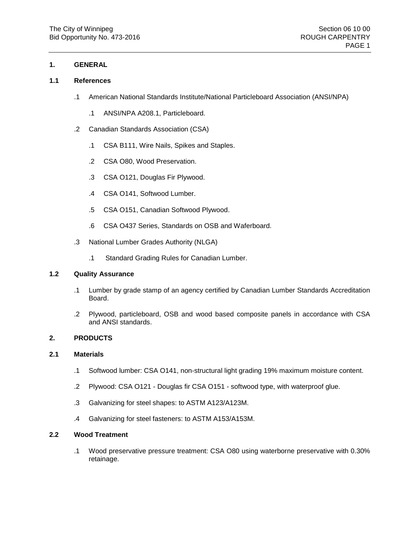### **1. GENERAL**

### **1.1 References**

- .1 American National Standards Institute/National Particleboard Association (ANSI/NPA)
	- .1 ANSI/NPA A208.1, Particleboard.
- .2 Canadian Standards Association (CSA)
	- .1 CSA B111, Wire Nails, Spikes and Staples.
	- .2 CSA O80, Wood Preservation.
	- .3 CSA O121, Douglas Fir Plywood.
	- .4 CSA O141, Softwood Lumber.
	- .5 CSA O151, Canadian Softwood Plywood.
	- .6 CSA O437 Series, Standards on OSB and Waferboard.
- .3 National Lumber Grades Authority (NLGA)
	- .1 Standard Grading Rules for Canadian Lumber.

#### **1.2 Quality Assurance**

- .1 Lumber by grade stamp of an agency certified by Canadian Lumber Standards Accreditation Board.
- .2 Plywood, particleboard, OSB and wood based composite panels in accordance with CSA and ANSI standards.

### **2. PRODUCTS**

## **2.1 Materials**

- .1 Softwood lumber: CSA O141, non-structural light grading 19% maximum moisture content.
- .2 Plywood: CSA O121 Douglas fir CSA O151 softwood type, with waterproof glue.
- .3 Galvanizing for steel shapes: to ASTM A123/A123M.
- .4 Galvanizing for steel fasteners: to ASTM A153/A153M.

### **2.2 Wood Treatment**

.1 Wood preservative pressure treatment: CSA O80 using waterborne preservative with 0.30% retainage.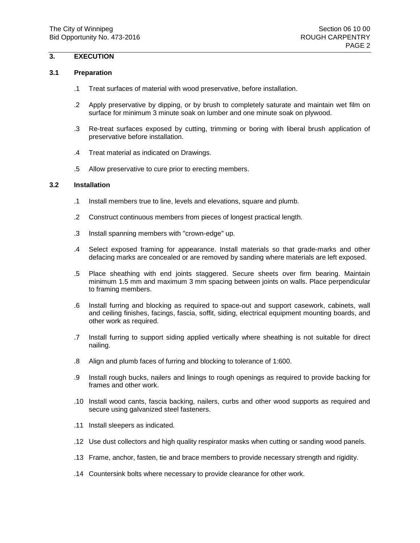# **3. EXECUTION**

### **3.1 Preparation**

- .1 Treat surfaces of material with wood preservative, before installation.
- .2 Apply preservative by dipping, or by brush to completely saturate and maintain wet film on surface for minimum 3 minute soak on lumber and one minute soak on plywood.
- .3 Re-treat surfaces exposed by cutting, trimming or boring with liberal brush application of preservative before installation.
- .4 Treat material as indicated on Drawings.
- .5 Allow preservative to cure prior to erecting members.

### **3.2 Installation**

- .1 Install members true to line, levels and elevations, square and plumb.
- .2 Construct continuous members from pieces of longest practical length.
- .3 Install spanning members with "crown-edge" up.
- .4 Select exposed framing for appearance. Install materials so that grade-marks and other defacing marks are concealed or are removed by sanding where materials are left exposed.
- .5 Place sheathing with end joints staggered. Secure sheets over firm bearing. Maintain minimum 1.5 mm and maximum 3 mm spacing between joints on walls. Place perpendicular to framing members.
- .6 Install furring and blocking as required to space-out and support casework, cabinets, wall and ceiling finishes, facings, fascia, soffit, siding, electrical equipment mounting boards, and other work as required.
- .7 Install furring to support siding applied vertically where sheathing is not suitable for direct nailing.
- .8 Align and plumb faces of furring and blocking to tolerance of 1:600.
- .9 Install rough bucks, nailers and linings to rough openings as required to provide backing for frames and other work.
- .10 Install wood cants, fascia backing, nailers, curbs and other wood supports as required and secure using galvanized steel fasteners.
- .11 Install sleepers as indicated.
- .12 Use dust collectors and high quality respirator masks when cutting or sanding wood panels.
- .13 Frame, anchor, fasten, tie and brace members to provide necessary strength and rigidity.
- .14 Countersink bolts where necessary to provide clearance for other work.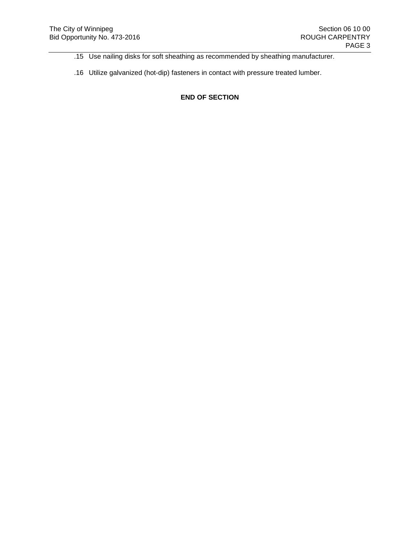- .15 Use nailing disks for soft sheathing as recommended by sheathing manufacturer.
- .16 Utilize galvanized (hot-dip) fasteners in contact with pressure treated lumber.

**END OF SECTION**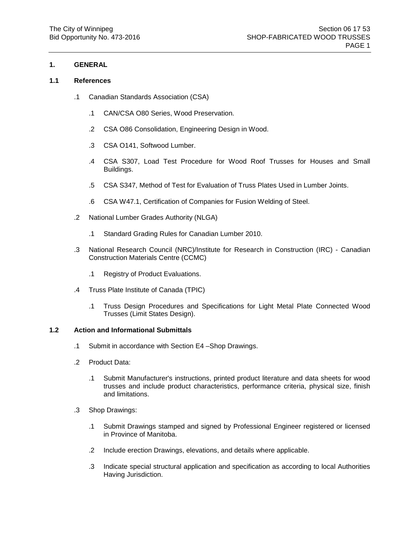### **1. GENERAL**

#### **1.1 References**

- .1 Canadian Standards Association (CSA)
	- .1 CAN/CSA O80 Series, Wood Preservation.
	- .2 CSA O86 Consolidation, Engineering Design in Wood.
	- .3 CSA O141, Softwood Lumber.
	- .4 CSA S307, Load Test Procedure for Wood Roof Trusses for Houses and Small Buildings.
	- .5 CSA S347, Method of Test for Evaluation of Truss Plates Used in Lumber Joints.
	- .6 CSA W47.1, Certification of Companies for Fusion Welding of Steel.
- .2 National Lumber Grades Authority (NLGA)
	- .1 Standard Grading Rules for Canadian Lumber 2010.
- .3 National Research Council (NRC)/Institute for Research in Construction (IRC) Canadian Construction Materials Centre (CCMC)
	- .1 Registry of Product Evaluations.
- .4 Truss Plate Institute of Canada (TPIC)
	- .1 Truss Design Procedures and Specifications for Light Metal Plate Connected Wood Trusses (Limit States Design).

### **1.2 Action and Informational Submittals**

- .1 Submit in accordance with Section E4 –Shop Drawings.
- .2 Product Data:
	- .1 Submit Manufacturer's instructions, printed product literature and data sheets for wood trusses and include product characteristics, performance criteria, physical size, finish and limitations.
- .3 Shop Drawings:
	- .1 Submit Drawings stamped and signed by Professional Engineer registered or licensed in Province of Manitoba.
	- .2 Include erection Drawings, elevations, and details where applicable.
	- .3 Indicate special structural application and specification as according to local Authorities Having Jurisdiction.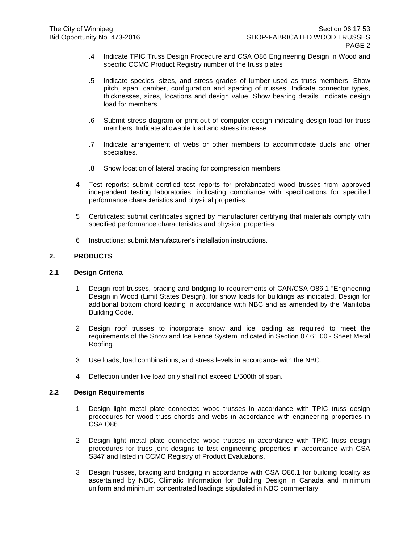- .4 Indicate TPIC Truss Design Procedure and CSA O86 Engineering Design in Wood and specific CCMC Product Registry number of the truss plates
- .5 Indicate species, sizes, and stress grades of lumber used as truss members. Show pitch, span, camber, configuration and spacing of trusses. Indicate connector types, thicknesses, sizes, locations and design value. Show bearing details. Indicate design load for members.
- .6 Submit stress diagram or print-out of computer design indicating design load for truss members. Indicate allowable load and stress increase.
- .7 Indicate arrangement of webs or other members to accommodate ducts and other specialties.
- .8 Show location of lateral bracing for compression members.
- .4 Test reports: submit certified test reports for prefabricated wood trusses from approved independent testing laboratories, indicating compliance with specifications for specified performance characteristics and physical properties.
- .5 Certificates: submit certificates signed by manufacturer certifying that materials comply with specified performance characteristics and physical properties.
- .6 Instructions: submit Manufacturer's installation instructions.

### **2. PRODUCTS**

### **2.1 Design Criteria**

- .1 Design roof trusses, bracing and bridging to requirements of CAN/CSA O86.1 "Engineering Design in Wood (Limit States Design), for snow loads for buildings as indicated. Design for additional bottom chord loading in accordance with NBC and as amended by the Manitoba Building Code.
- .2 Design roof trusses to incorporate snow and ice loading as required to meet the requirements of the Snow and Ice Fence System indicated in Section 07 61 00 - Sheet Metal Roofing.
- .3 Use loads, load combinations, and stress levels in accordance with the NBC.
- .4 Deflection under live load only shall not exceed L/500th of span.

### **2.2 Design Requirements**

- .1 Design light metal plate connected wood trusses in accordance with TPIC truss design procedures for wood truss chords and webs in accordance with engineering properties in CSA O86.
- .2 Design light metal plate connected wood trusses in accordance with TPIC truss design procedures for truss joint designs to test engineering properties in accordance with CSA S347 and listed in CCMC Registry of Product Evaluations.
- .3 Design trusses, bracing and bridging in accordance with CSA O86.1 for building locality as ascertained by NBC, Climatic Information for Building Design in Canada and minimum uniform and minimum concentrated loadings stipulated in NBC commentary.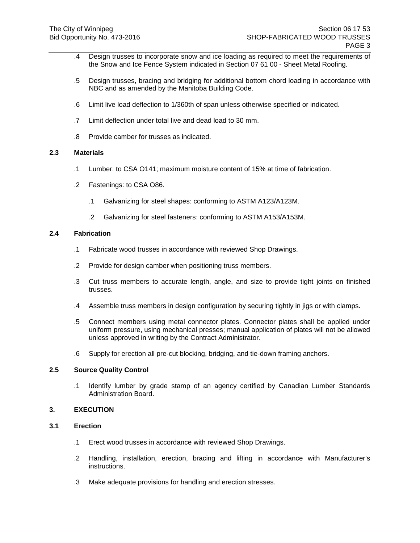- .4 Design trusses to incorporate snow and ice loading as required to meet the requirements of the Snow and Ice Fence System indicated in Section 07 61 00 - Sheet Metal Roofing.
- .5 Design trusses, bracing and bridging for additional bottom chord loading in accordance with NBC and as amended by the Manitoba Building Code.
- .6 Limit live load deflection to 1/360th of span unless otherwise specified or indicated.
- .7 Limit deflection under total live and dead load to 30 mm.
- .8 Provide camber for trusses as indicated.

### **2.3 Materials**

- .1 Lumber: to CSA O141; maximum moisture content of 15% at time of fabrication.
- .2 Fastenings: to CSA O86.
	- .1 Galvanizing for steel shapes: conforming to ASTM A123/A123M.
	- .2 Galvanizing for steel fasteners: conforming to ASTM A153/A153M.

#### **2.4 Fabrication**

- .1 Fabricate wood trusses in accordance with reviewed Shop Drawings.
- .2 Provide for design camber when positioning truss members.
- .3 Cut truss members to accurate length, angle, and size to provide tight joints on finished trusses.
- .4 Assemble truss members in design configuration by securing tightly in jigs or with clamps.
- .5 Connect members using metal connector plates. Connector plates shall be applied under uniform pressure, using mechanical presses; manual application of plates will not be allowed unless approved in writing by the Contract Administrator.
- .6 Supply for erection all pre-cut blocking, bridging, and tie-down framing anchors.

### **2.5 Source Quality Control**

.1 Identify lumber by grade stamp of an agency certified by Canadian Lumber Standards Administration Board.

#### **3. EXECUTION**

### **3.1 Erection**

- .1 Erect wood trusses in accordance with reviewed Shop Drawings.
- .2 Handling, installation, erection, bracing and lifting in accordance with Manufacturer's instructions.
- .3 Make adequate provisions for handling and erection stresses.